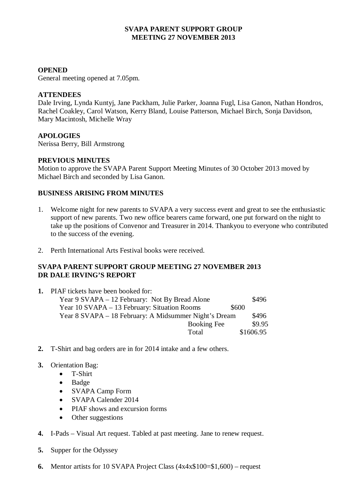# **SVAPA PARENT SUPPORT GROUP MEETING 27 NOVEMBER 2013**

### **OPENED**

General meeting opened at 7.05pm.

### **ATTENDEES**

Dale Irving, Lynda Kuntyj, Jane Packham, Julie Parker, Joanna Fugl, Lisa Ganon, Nathan Hondros, Rachel Coakley, Carol Watson, Kerry Bland, Louise Patterson, Michael Birch, Sonja Davidson, Mary Macintosh, Michelle Wray

# **APOLOGIES**

Nerissa Berry, Bill Armstrong

#### **PREVIOUS MINUTES**

Motion to approve the SVAPA Parent Support Meeting Minutes of 30 October 2013 moved by Michael Birch and seconded by Lisa Ganon.

# **BUSINESS ARISING FROM MINUTES**

- 1. Welcome night for new parents to SVAPA a very success event and great to see the enthusiastic support of new parents. Two new office bearers came forward, one put forward on the night to take up the positions of Convenor and Treasurer in 2014. Thankyou to everyone who contributed to the success of the evening.
- 2. Perth International Arts Festival books were received.

# **SVAPA PARENT SUPPORT GROUP MEETING 27 NOVEMBER 2013 DR DALE IRVING'S REPORT**

- **1.** PIAF tickets have been booked for: Year 9 SVAPA – 12 February: Not By Bread Alone \$496 Year 10 SVAPA – 13 February: Situation Rooms  $$600$ Year 8 SVAPA – 18 February: A Midsummer Night's Dream \$496 Booking Fee \$9.95 Total \$1606.95
- **2.** T-Shirt and bag orders are in for 2014 intake and a few others.
- **3.** Orientation Bag:
	- T-Shirt
	- Badge
	- SVAPA Camp Form
	- SVAPA Calender 2014
	- PIAF shows and excursion forms
	- Other suggestions
- **4.** I-Pads Visual Art request. Tabled at past meeting. Jane to renew request.
- **5.** Supper for the Odyssey
- **6.** Mentor artists for 10 SVAPA Project Class (4x4x\$100=\$1,600) request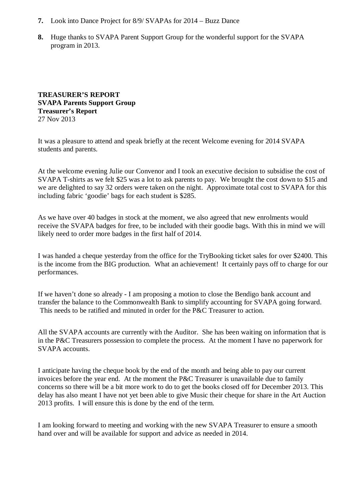- **7.** Look into Dance Project for 8/9/ SVAPAs for 2014 Buzz Dance
- **8.** Huge thanks to SVAPA Parent Support Group for the wonderful support for the SVAPA program in 2013.

### **TREASURER'S REPORT SVAPA Parents Support Group Treasurer's Report** 27 Nov 2013

It was a pleasure to attend and speak briefly at the recent Welcome evening for 2014 SVAPA students and parents.

At the welcome evening Julie our Convenor and I took an executive decision to subsidise the cost of SVAPA T-shirts as we felt \$25 was a lot to ask parents to pay. We brought the cost down to \$15 and we are delighted to say 32 orders were taken on the night. Approximate total cost to SVAPA for this including fabric 'goodie' bags for each student is \$285.

As we have over 40 badges in stock at the moment, we also agreed that new enrolments would receive the SVAPA badges for free, to be included with their goodie bags. With this in mind we will likely need to order more badges in the first half of 2014.

I was handed a cheque yesterday from the office for the TryBooking ticket sales for over \$2400. This is the income from the BIG production. What an achievement! It certainly pays off to charge for our performances.

If we haven't done so already - I am proposing a motion to close the Bendigo bank account and transfer the balance to the Commonwealth Bank to simplify accounting for SVAPA going forward. This needs to be ratified and minuted in order for the P&C Treasurer to action.

All the SVAPA accounts are currently with the Auditor. She has been waiting on information that is in the P&C Treasurers possession to complete the process. At the moment I have no paperwork for SVAPA accounts.

I anticipate having the cheque book by the end of the month and being able to pay our current invoices before the year end. At the moment the P&C Treasurer is unavailable due to family concerns so there will be a bit more work to do to get the books closed off for December 2013. This delay has also meant I have not yet been able to give Music their cheque for share in the Art Auction 2013 profits. I will ensure this is done by the end of the term.

I am looking forward to meeting and working with the new SVAPA Treasurer to ensure a smooth hand over and will be available for support and advice as needed in 2014.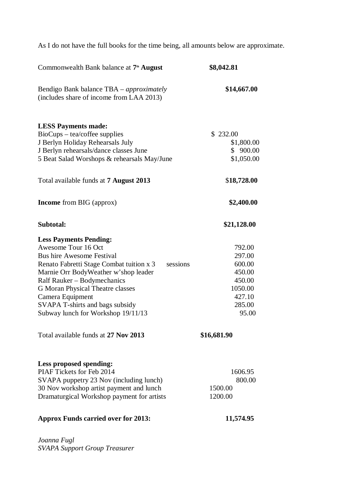As I do not have the full books for the time being, all amounts below are approximate.

| Commonwealth Bank balance at 7 <sup>th</sup> August                                                                                                                                                                                                                                                                                                             | \$8,042.81                                                                             |
|-----------------------------------------------------------------------------------------------------------------------------------------------------------------------------------------------------------------------------------------------------------------------------------------------------------------------------------------------------------------|----------------------------------------------------------------------------------------|
| Bendigo Bank balance TBA – approximately<br>(includes share of income from LAA 2013)                                                                                                                                                                                                                                                                            | \$14,667.00                                                                            |
| <b>LESS Payments made:</b><br>$BioCups - tea/coffee$ supplies<br>J Berlyn Holiday Rehearsals July<br>J Berlyn rehearsals/dance classes June<br>5 Beat Salad Worshops & rehearsals May/June                                                                                                                                                                      | \$232.00<br>\$1,800.00<br>\$900.00<br>\$1,050.00                                       |
| Total available funds at <b>7 August 2013</b>                                                                                                                                                                                                                                                                                                                   | \$18,728.00                                                                            |
| <b>Income</b> from BIG (approx)                                                                                                                                                                                                                                                                                                                                 | \$2,400.00                                                                             |
| Subtotal:                                                                                                                                                                                                                                                                                                                                                       | \$21,128.00                                                                            |
| <b>Less Payments Pending:</b><br>Awesome Tour 16 Oct<br><b>Bus hire Awesome Festival</b><br>Renato Fabretti Stage Combat tuition x 3<br>sessions<br>Marnie Orr BodyWeather w'shop leader<br>Ralf Rauker – Bodymechanics<br><b>G Moran Physical Theatre classes</b><br>Camera Equipment<br>SVAPA T-shirts and bags subsidy<br>Subway lunch for Workshop 19/11/13 | 792.00<br>297.00<br>600.00<br>450.00<br>450.00<br>1050.00<br>427.10<br>285.00<br>95.00 |
| Total available funds at 27 Nov 2013                                                                                                                                                                                                                                                                                                                            | \$16,681.90                                                                            |
| Less proposed spending:<br>PIAF Tickets for Feb 2014<br>SVAPA puppetry 23 Nov (including lunch)<br>30 Nov workshop artist payment and lunch<br>Dramaturgical Workshop payment for artists<br><b>Approx Funds carried over for 2013:</b>                                                                                                                         | 1606.95<br>800.00<br>1500.00<br>1200.00<br>11,574.95                                   |
|                                                                                                                                                                                                                                                                                                                                                                 |                                                                                        |

*Joanna Fugl SVAPA Support Group Treasurer*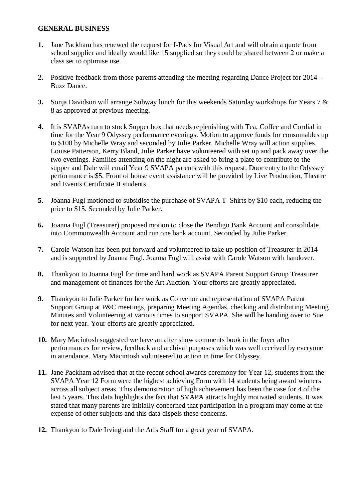# **GENERAL BUSINESS**

- **1.** Jane Packham has renewed the request for I-Pads for Visual Art and will obtain a quote from school supplier and ideally would like 15 supplied so they could be shared between 2 or make a class set to optimise use.
- **2.** Positive feedback from those parents attending the meeting regarding Dance Project for 2014 Buzz Dance.
- **3.** Sonja Davidson will arrange Subway lunch for this weekends Saturday workshops for Years 7 & 8 as approved at previous meeting.
- **4.** It is SVAPAs turn to stock Supper box that needs replenishing with Tea, Coffee and Cordial in time for the Year 9 Odyssey performance evenings. Motion to approve funds for consumables up to \$100 by Michelle Wray and seconded by Julie Parker. Michelle Wray will action supplies. Louise Patterson, Kerry Bland, Julie Parker have volunteered with set up and pack away over the two evenings. Families attending on the night are asked to bring a plate to contribute to the supper and Dale will email Year 9 SVAPA parents with this request. Door entry to the Odyssey performance is \$5. Front of house event assistance will be provided by Live Production, Theatre and Events Certificate II students.
- **5.** Joanna Fugl motioned to subsidise the purchase of SVAPA T–Shirts by \$10 each, reducing the price to \$15. Seconded by Julie Parker.
- **6.** Joanna Fugl (Treasurer) proposed motion to close the Bendigo Bank Account and consolidate into Commonwealth Account and run one bank account. Seconded by Julie Parker.
- **7.** Carole Watson has been put forward and volunteered to take up position of Treasurer in 2014 and is supported by Joanna Fugl. Joanna Fugl will assist with Carole Watson with handover.
- **8.** Thankyou to Joanna Fugl for time and hard work as SVAPA Parent Support Group Treasurer and management of finances for the Art Auction. Your efforts are greatly appreciated.
- **9.** Thankyou to Julie Parker for her work as Convenor and representation of SVAPA Parent Support Group at P&C meetings, preparing Meeting Agendas, checking and distributing Meeting Minutes and Volunteering at various times to support SVAPA. She will be handing over to Sue for next year. Your efforts are greatly appreciated.
- **10.** Mary Macintosh suggested we have an after show comments book in the foyer after performances for review, feedback and archival purposes which was well received by everyone in attendance. Mary Macintosh volunteered to action in time for Odyssey.
- **11.** Jane Packham advised that at the recent school awards ceremony for Year 12, students from the SVAPA Year 12 Form were the highest achieving Form with 14 students being award winners across all subject areas. This demonstration of high achievement has been the case for 4 of the last 5 years. This data highlights the fact that SVAPA attracts highly motivated students. It was stated that many parents are initially concerned that participation in a program may come at the expense of other subjects and this data dispels these concerns.
- **12.** Thankyou to Dale Irving and the Arts Staff for a great year of SVAPA.